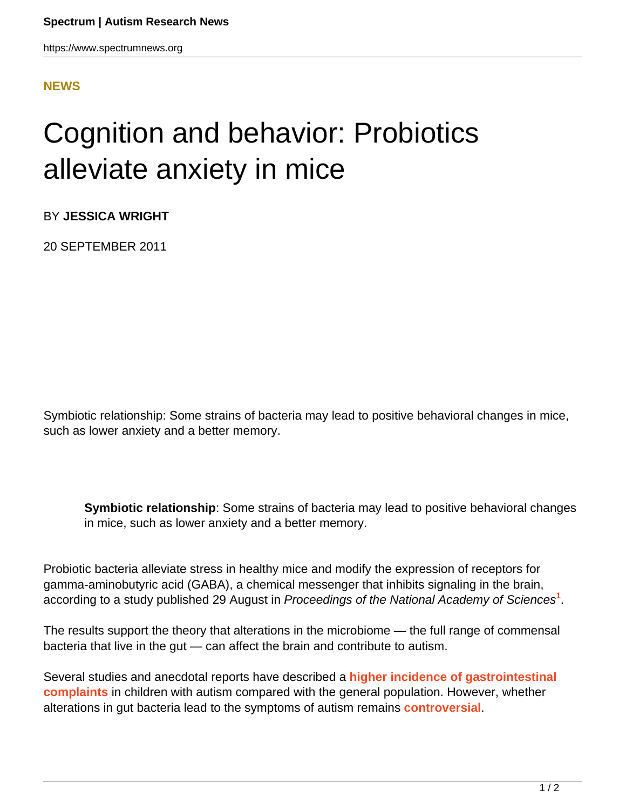https://www.spectrumnews.org

## **[NEWS](HTTPS://WWW.SPECTRUMNEWS.ORG/NEWS/)**

## Cognition and behavior: Probiotics alleviate anxiety in mice

BY **JESSICA WRIGHT**

20 SEPTEMBER 2011

Symbiotic relationship: Some strains of bacteria may lead to positive behavioral changes in mice, such as lower anxiety and a better memory.

**Symbiotic relationship**: Some strains of bacteria may lead to positive behavioral changes in mice, such as lower anxiety and a better memory.

Probiotic bacteria alleviate stress in healthy mice and modify the expression of receptors for gamma-aminobutyric acid (GABA), a chemical messenger that inhibits signaling in the brain, according to a study published 29 August in Proceedings of the National Academy of Sciences**<sup>1</sup>** .

The results support the theory that alterations in the microbiome — the full range of commensal bacteria that live in the gut — can affect the brain and contribute to autism.

Several studies and anecdotal reports have described a **[higher incidence of gastrointestinal](../../../../news-and-opinion/news/2011/study-raises-questions-about-autism-gut-connection) [complaints](../../../../news-and-opinion/news/2011/study-raises-questions-about-autism-gut-connection)** in children with autism compared with the general population. However, whether alterations in gut bacteria lead to the symptoms of autism remains **[controversial](https://www.spectrumnews.org/in-brief/2011/clinical-research-studies-add-to-confusion-over-gut-autism-link)**.